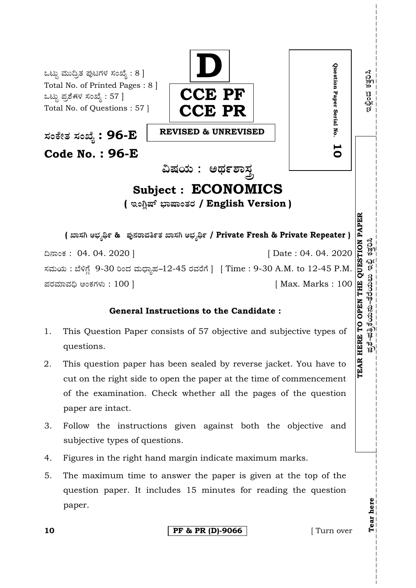

## **General Instructions to the Candidate :**

- 1. This Question Paper consists of 57 objective and subjective types of questions.
- 2. This question paper has been sealed by reverse jacket. You have to cut on the right side to open the paper at the time of commencement of the examination. Check whether all the pages of the question paper are intact.
- 3. Follow the instructions given against both the objective and subjective types of questions.
- 4. Figures in the right hand margin indicate maximum marks.
- 5. The maximum time to answer the paper is given at the top of the question paper. It includes 15 minutes for reading the question paper.

**10 PF & PR (D)-9066 I** Turn over

**Tear here** 

Tear here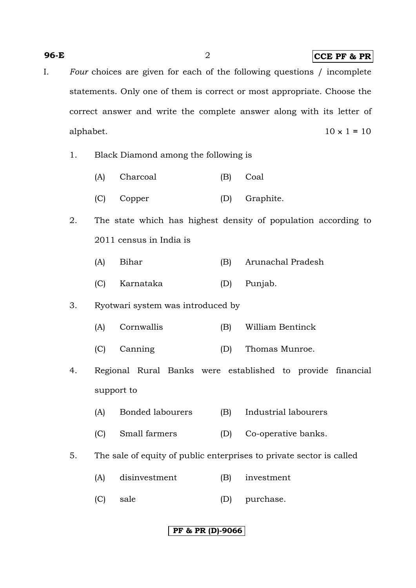#### **96-E** 2 **CCE PF & PR**

- I. *Four* choices are given for each of the following questions / incomplete statements. Only one of them is correct or most appropriate. Choose the correct answer and write the complete answer along with its letter of alphabet. 10 × 1 **=** 10
	- 1. Black Diamond among the following is
		- (A) Charcoal (B) Coal
		- (C) Copper (D) Graphite.
	- 2. The state which has highest density of population according to 2011 census in India is
		- (A) Bihar (B) Arunachal Pradesh
		- (C) Karnataka (D) Punjab.

#### 3. Ryotwari system was introduced by

- (A) Cornwallis (B) William Bentinck
- (C) Canning (D) Thomas Munroe.
- 4. Regional Rural Banks were established to provide financial support to
	- (A) Bonded labourers (B) Industrial labourers
	- (C) Small farmers (D) Co-operative banks.
- 5. The sale of equity of public enterprises to private sector is called
	- (A) disinvestment (B) investment
	- (C) sale (D) purchase.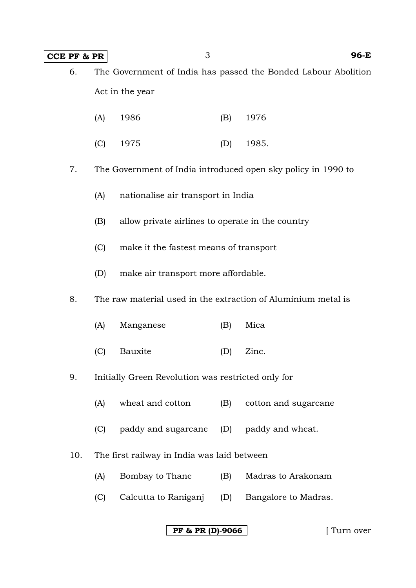## **CCE PF & PR** 3 96-E

6. The Government of India has passed the Bonded Labour Abolition Act in the year

|  | (A) 1986 |  | (B) 1976 |
|--|----------|--|----------|
|--|----------|--|----------|

(C) 1975 (D) 1985.

7. The Government of India introduced open sky policy in 1990 to

- (A) nationalise air transport in India
- (B) allow private airlines to operate in the country
- (C) make it the fastest means of transport
- (D) make air transport more affordable.

8. The raw material used in the extraction of Aluminium metal is

- (A) Manganese (B) Mica
- (C) Bauxite (D) Zinc.

#### 9. Initially Green Revolution was restricted only for

- (A) wheat and cotton (B) cotton and sugarcane
- (C) paddy and sugarcane (D) paddy and wheat.
- 10. The first railway in India was laid between
	- (A) Bombay to Thane (B) Madras to Arakonam
	- (C) Calcutta to Raniganj (D) Bangalore to Madras.

## **PF & PR (D)-9066** [ Turn over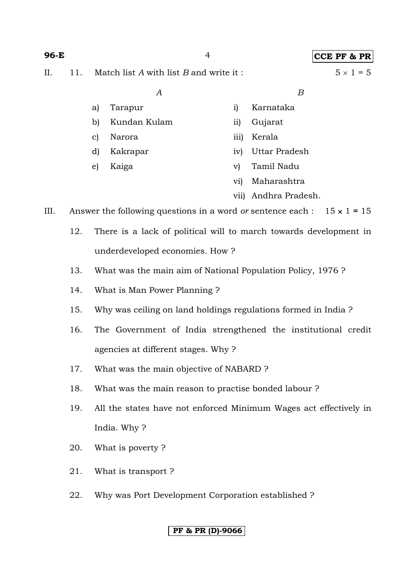#### **96-E** 4 **CCE PF & PR**

II. 11. Match list *A* with list *B* and write it :  $5 \times 1 = 5$ 

| iv) Uttar Pradesh |
|-------------------|
| v) Tamil Nadu     |
|                   |

vi) Maharashtra

vii) Andhra Pradesh.

III. Answer the following questions in a word *or* sentence each :  $15 \times 1 = 15$ 

- 12. There is a lack of political will to march towards development in underdeveloped economies. How ?
- 13. What was the main aim of National Population Policy, 1976 ?
- 14. What is Man Power Planning ?
- 15. Why was ceiling on land holdings regulations formed in India ?
- 16. The Government of India strengthened the institutional credit agencies at different stages. Why ?
- 17. What was the main objective of NABARD ?
- 18. What was the main reason to practise bonded labour ?
- 19. All the states have not enforced Minimum Wages act effectively in India. Why ?
- 20. What is poverty ?
- 21. What is transport ?
- 22. Why was Port Development Corporation established ?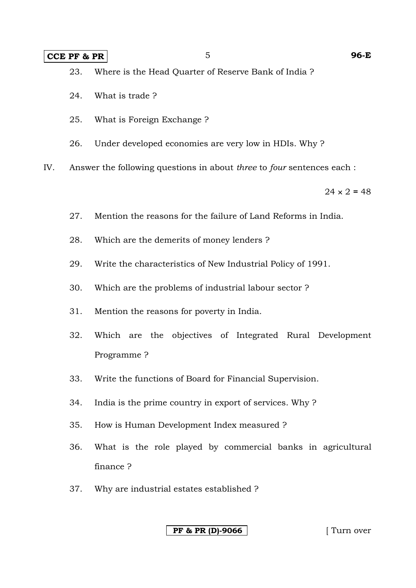#### **CCE PF & PR** 5 96-E

- 23. Where is the Head Quarter of Reserve Bank of India ?
- 24. What is trade ?
- 25. What is Foreign Exchange ?
- 26. Under developed economies are very low in HDIs. Why ?

IV. Answer the following questions in about *three* to *four* sentences each :

 $24 \times 2 = 48$ 

- 27. Mention the reasons for the failure of Land Reforms in India.
- 28. Which are the demerits of money lenders ?
- 29. Write the characteristics of New Industrial Policy of 1991.
- 30. Which are the problems of industrial labour sector ?
- 31. Mention the reasons for poverty in India.
- 32. Which are the objectives of Integrated Rural Development Programme ?
- 33. Write the functions of Board for Financial Supervision.
- 34. India is the prime country in export of services. Why ?
- 35. How is Human Development Index measured ?
- 36. What is the role played by commercial banks in agricultural finance ?
- 37. Why are industrial estates established ?

**PF & PR (D)-9066** [ Turn over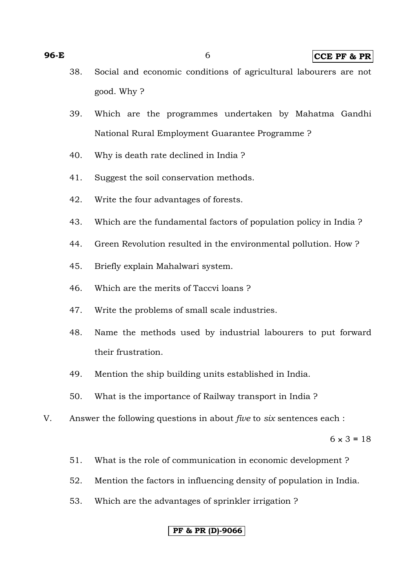- 38. Social and economic conditions of agricultural labourers are not good. Why ?
- 39. Which are the programmes undertaken by Mahatma Gandhi National Rural Employment Guarantee Programme ?
- 40. Why is death rate declined in India ?
- 41. Suggest the soil conservation methods.
- 42. Write the four advantages of forests.
- 43. Which are the fundamental factors of population policy in India ?
- 44. Green Revolution resulted in the environmental pollution. How ?
- 45. Briefly explain Mahalwari system.
- 46. Which are the merits of Taccvi loans ?
- 47. Write the problems of small scale industries.
- 48. Name the methods used by industrial labourers to put forward their frustration.
- 49. Mention the ship building units established in India.
- 50. What is the importance of Railway transport in India ?
- V. Answer the following questions in about *five* to *six* sentences each :

 $6 \times 3 = 18$ 

- 51. What is the role of communication in economic development ?
- 52. Mention the factors in influencing density of population in India.
- 53. Which are the advantages of sprinkler irrigation ?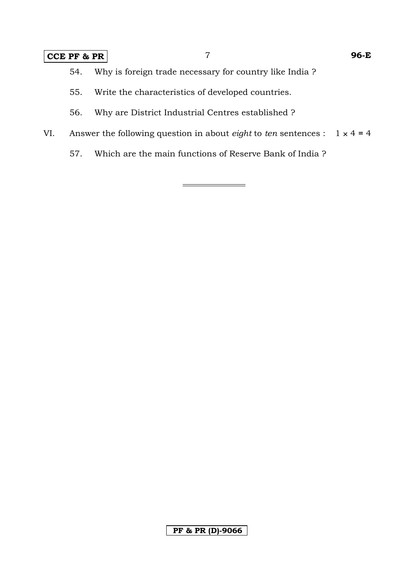# **CCE PF & PR** 7 **96-E**

- 54. Why is foreign trade necessary for country like India ?
- 55. Write the characteristics of developed countries.
- 56. Why are District Industrial Centres established ?
- VI. Answer the following question in about *eight* to *ten* sentences :  $1 \times 4 = 4$ 
	- 57. Which are the main functions of Reserve Bank of India ?